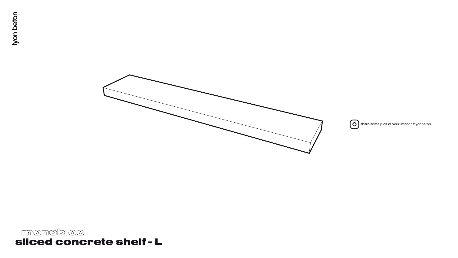# monobloc sliced concrete shelf - L

Iyon beton





Share some pics of your interior #lyonbeton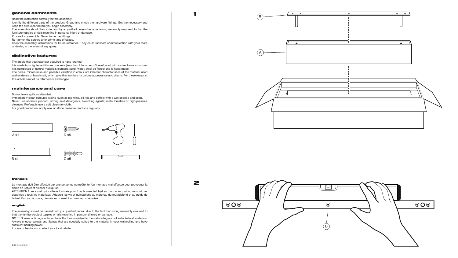# general comments

Read the instruction carefully before assembly. Identify the different parts of the product. Group and check the hardware fittings. Get the necessary and keep the area clear before you begin assembly. The assembly should be carried out by a qualified person because wrong assembly may lead to that the furniture topples or falls resulting in personal injury or damage. Proceed to assemble. Never force the fittings. Re-tighten the screws after some time of usage. Keep the assembly instructions for future reference. They could facilitate communication with your store or dealer, in the event of any query.

 $\overline{\mathbf{A}}$ 

2

# distinctive features

The article that you have just acquired is hand-crafted.

It is made from lightened fibrous concrete (less than 2 tons per m3) reinforced with a steel frame structure. It is composed of natural materials (cement, sand; water, steel ad fibres) and is hand made. The pores, microcracks and possible variation in colour are inherent characteristics of the material used

and evidence of handicraft, which give this furniture its unique appearance and charm. For these reasons, this article cannot be returned or exchanged.

### maintenance and care

#### Do not leave spills unattended.

Immediately clean coloured stains (such as red wine, oil, tea and coffee) with a wet sponge and soap. Never use abrasive product, strong acid detergents, bleaching agents, metal brushes or high-pressure cleaners. Preferably use a soft clean dry cloth.

For good protection, apply wax or stone preserve products regularly.

#### francais

Le montage doit être effectué par une personne compétente. Un montage mal effectué peut provoquer la chute de l'objet et blesser quelqu'un.

ATTENTION ! Les vis et quincaillerie fournies pour fixer le meuble/objet au mur ou au plafond ne sont pas adaptées a tous les matériaux. Adaptez les vis et quincaillerie au matériau du mur/plafond et au poids de l'objet. En cas de doute, demandez conseil à un vendeur spécialisé.

#### english

The assembly should be carried out by a qualified person due to the fact that wrong assembly can lead to that the furniture/object topples or falls resulting in personnal injury or damage.

NOTE! Screws or fittings included to fix the furniture/objet to the wall/ceiling are not suitable to all materials. Always choose screws and fittings that are specially suited to the material in your wall/ceiling and have sufficient holding power.

In case of hesitation, contact your local retailer.